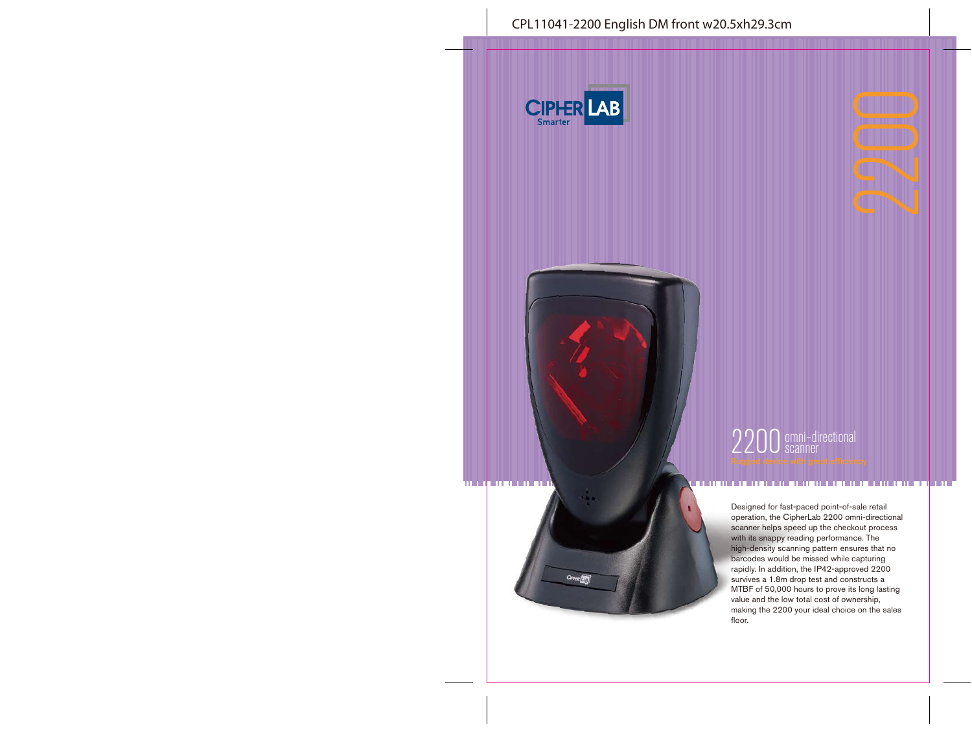

CIFFER (ALT)



2200 omni-directional

#### . . . . . . . . .

Designed for fast-paced point-of-sale retail operation, the CipherLab 2200 omni-directional scanner helps speed up the checkout process with its snappy reading performance. The high-density scanning pattern ensures that no barcodes would be missed while capturing rapidly. In addition, the IP42-approved 2200 survives a 1.8m drop test and constructs a MTBF of 50,000 hours to prove its long lasting value and the low total cost of ownership, making the 2200 your ideal choice on the sales floor.